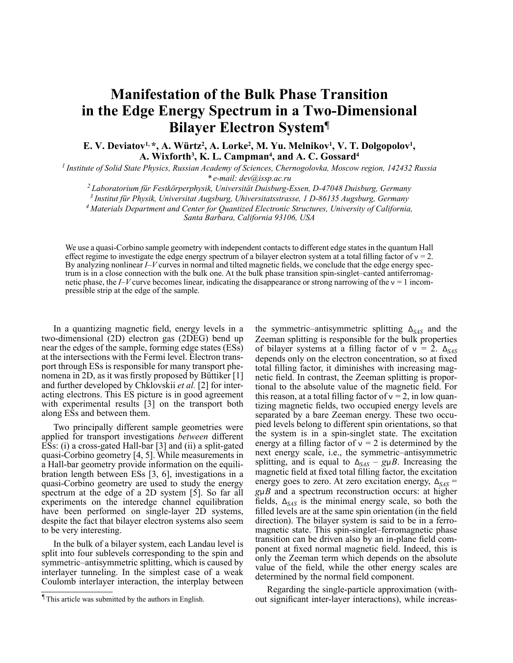## **Manifestation of the Bulk Phase Transition in the Edge Energy Spectrum in a Two-Dimensional Bilayer Electron System¶**

## E. V. Deviatov½, A. Würtz², A. Lorke², M. Yu. Melnikov½, V. T. Dolgopolov½, **A. Wixforth 3 , K. L. Campman 4 , and A. C. Gossard 4**

*1 Institute of Solid State Physics, Russian Academy of Sciences, Chernogolovka, Moscow region, 142432 Russia \* e-mail: dev@issp.ac.ru*

*<sup>2</sup> Laboratorium für Festkörperphysik, Universität Duisburg-Essen, D-47048 Duisburg, Germany*

*3 Institut für Physik, Universitat Augsburg, Uhiversitatsstrasse, 1 D-86135 Augsburg, Germany*

*<sup>4</sup> Materials Department and Center for Quantized Electronic Structures, University of California,*

*Santa Barbara, California 93106, USA*

We use a quasi-Corbino sample geometry with independent contacts to different edge states in the quantum Hall effect regime to investigate the edge energy spectrum of a bilayer electron system at a total filling factor of  $v = 2$ . By analyzing nonlinear *I*–*V* curves in normal and tilted magnetic fields, we conclude that the edge energy spectrum is in a close connection with the bulk one. At the bulk phase transition spin-singlet–canted antiferromagnetic phase, the *I–V* curve becomes linear, indicating the disappearance or strong narrowing of the  $v = 1$  incompressible strip at the edge of the sample.

In a quantizing magnetic field, energy levels in a two-dimensional (2D) electron gas (2DEG) bend up near the edges of the sample, forming edge states (ESs) at the intersections with the Fermi level. Electron transport through ESs is responsible for many transport phenomena in 2D, as it was firstly proposed by Büttiker [1] and further developed by Chklovskii *et al.* [2] for interacting electrons. This ES picture is in good agreement with experimental results [3] on the transport both along ESs and between them.

Two principally different sample geometries were applied for transport investigations *between* different ESs: (i) a cross-gated Hall-bar [3] and (ii) a split-gated quasi-Corbino geometry [4, 5]. While measurements in a Hall-bar geometry provide information on the equilibration length between ESs [3, 6], investigations in a quasi-Corbino geometry are used to study the energy spectrum at the edge of a 2D system [5]. So far all experiments on the interedge channel equilibration have been performed on single-layer 2D systems, despite the fact that bilayer electron systems also seem to be very interesting.

In the bulk of a bilayer system, each Landau level is split into four sublevels corresponding to the spin and symmetric–antisymmetric splitting, which is caused by interlayer tunneling. In the simplest case of a weak Coulomb interlayer interaction, the interplay between

the symmetric–antisymmetric splitting ∆*SAS* and the Zeeman splitting is responsible for the bulk properties of bilayer systems at a filling factor of ν = 2. ∆*SAS* depends only on the electron concentration, so at fixed total filling factor, it diminishes with increasing magnetic field. In contrast, the Zeeman splitting is proportional to the absolute value of the magnetic field. For this reason, at a total filling factor of  $v = 2$ , in low quantizing magnetic fields, two occupied energy levels are separated by a bare Zeeman energy. These two occupied levels belong to different spin orientations, so that the system is in a spin-singlet state. The excitation energy at a filling factor of  $v = 2$  is determined by the next energy scale, i.e., the symmetric–antisymmetric splitting, and is equal to  $\Delta_{SAS}$  – *g*µ*B*. Increasing the magnetic field at fixed total filling factor, the excitation energy goes to zero. At zero excitation energy, ∆*SAS* =  $g \mu B$  and a spectrum reconstruction occurs: at higher fields, ∆*SAS* is the minimal energy scale, so both the filled levels are at the same spin orientation (in the field direction). The bilayer system is said to be in a ferromagnetic state. This spin-singlet–ferromagnetic phase transition can be driven also by an in-plane field component at fixed normal magnetic field. Indeed, this is only the Zeeman term which depends on the absolute value of the field, while the other energy scales are determined by the normal field component.

Regarding the single-particle approximation (without significant inter-layer interactions), while increas-

<sup>¶</sup> This article was submitted by the authors in English.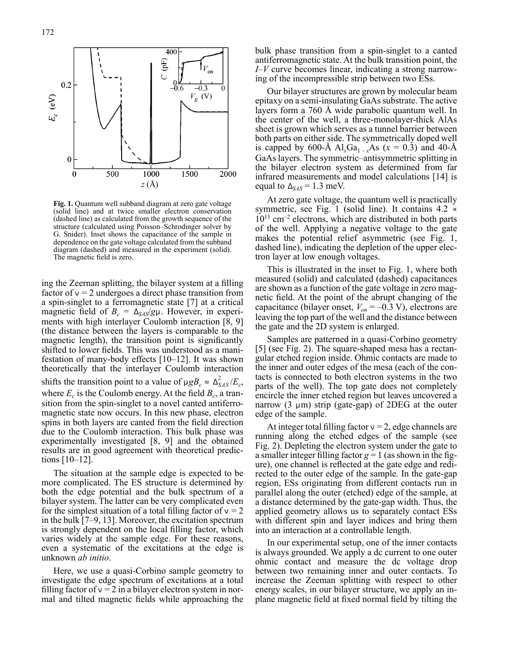

**Fig. 1.** Quantum well subband diagram at zero gate voltage (solid line) and at twice smaller electron conservation (dashed line) as calculated from the growth sequence of the structure (calculated using Poisson–Schrodinger solver by G. Snider). Inset shows the capacitance of the sample in dependence on the gate voltage calculated from the subband diagram (dashed) and measured in the experiment (solid). The magnetic field is zero.

ing the Zeernan splitting, the bilayer system at a filling factor of  $v = 2$  undergoes a direct phase transition from a spin-singlet to a ferromagnetic state [7] at a critical magnetic field of  $B_c = \Delta_{SAS}/g\mu$ . However, in experiments with high interlayer Coulomb interaction [8, 9] (the distance between the layers is comparable to the magnetic length), the transition point is significantly shifted to lower fields. This was understood as a manifestation of many-body effects [10–12]. It was shown theoretically that the interlayer Coulomb interaction shifts the transition point to a value of  $\mu g B_c \approx \Delta_{SAS}^2 / E_c$ , where  $E_c$  is the Coulomb energy. At the field  $B_c$ , a transition from the spin-singlet to a novel canted antiferromagnetic state now occurs. In this new phase, electron spins in both layers are canted from the field direction due to the Coulomb interaction. This bulk phase was experimentally investigated [8, 9] and the obtained results are in good agreement with theoretical predictions [10–12].

The situation at the sample edge is expected to be more complicated. The ES structure is determined by both the edge potential and the bulk spectrum of a bilayer system. The latter can be very complicated even for the simplest situation of a total filling factor of  $v = 2$ in the bulk [7–9, 13]. Moreover, the excitation spectrum is strongly dependent on the local filling factor, which varies widely at the sample edge. For these reasons, even a systematic of the excitations at the edge is unknown *ab initio*.

Here, we use a quasi-Corbino sample geometry to investigate the edge spectrum of excitations at a total filling factor of  $v = 2$  in a bilayer electron system in normal and tilted magnetic fields while approaching the bulk phase transition from a spin-singlet to a canted antiferromagnetic state. At the bulk transition point, the *I*–*V* curve becomes linear, indicating a strong narrowing of the incompressible strip between two ESs.

Our bilayer structures are grown by molecular beam epitaxy on a semi-insulating GaAs substrate. The active layers form a 760 Å wide parabolic quantum well. In the center of the well, a three-monolayer-thick AlAs sheet is grown which serves as a tunnel barrier between both parts on either side. The symmetrically doped well is capped by 600-Å  $Al_xGa_{1-x}As$  ( $x = 0.3$ ) and 40-Å GaAslayers. The symmetric–antisymmetric splitting in the bilayer electron system as determined from far infrared measurements and model calculations [14] is equal to  $\Delta_{SAS} = 1.3$  meV.

At zero gate voltage, the quantum well is practically symmetric, see Fig. 1 (solid line). It contains 4.2  $\times$  $10^{11}$  cm<sup>-2</sup> electrons, which are distributed in both parts of the well. Applying a negative voltage to the gate makes the potential relief asymmetric (see Fig. 1, dashed line), indicating the depletion of the upper electron layer at low enough voltages.

This is illustrated in the inset to Fig. 1, where both measured (solid) and calculated (dashed) capacitances are shown as a function of the gate voltage in zero magnetic field. At the point of the abrupt changing of the capacitance (bilayer onset,  $V_{on} = -0.3 \text{ V}$ ), electrons are leaving the top part of the well and the distance between the gate and the 2D system is enlarged.

Samples are patterned in a quasi-Corbino geometry [5] (see Fig. 2). The square-shaped mesa has a rectangular etched region inside. Ohmic contacts are made to the inner and outer edges of the mesa (each of the contacts is connected to both electron systems in the two parts of the well). The top gate does not completely encircle the inner etched region but leaves uncovered a narrow  $(3 \mu m)$  strip (gate-gap) of 2DEG at the outer edge of the sample.

At integer total filling factor  $v = 2$ , edge channels are running along the etched edges of the sample (see Fig. 2). Depleting the electron system under the gate to a smaller integer filling factor  $g = 1$  (as shown in the figure), one channel is reflected at the gate edge and redirected to the outer edge of the sample. In the gate-gap region, ESs originating from different contacts run in parallel along the outer (etched) edge of the sample, at a distance determined by the gate-gap width. Thus, the applied geometry allows us to separately contact ESs with different spin and layer indices and bring them into an interaction at a controllable length.

In our experimental setup, one of the inner contacts is always grounded. We apply a dc current to one outer ohmic contact and measure the dc voltage drop between two remaining inner and outer contacts. To increase the Zeeman splitting with respect to other energy scales, in our bilayer structure, we apply an inplane magnetic field at fixed normal field by tilting the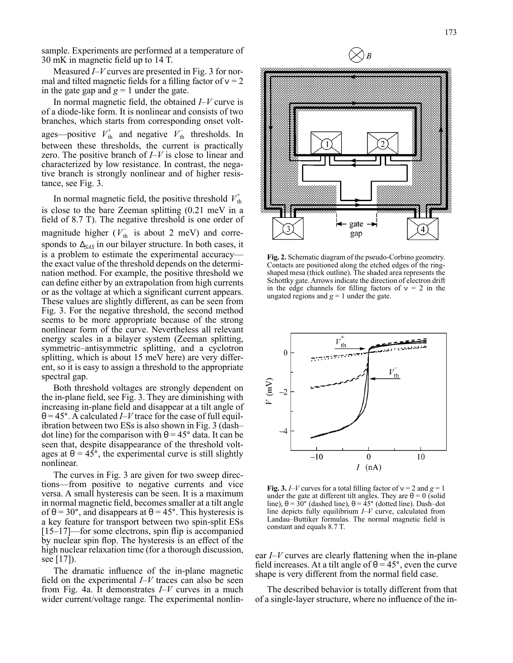sample. Experiments are performed at a temperature of 30 mK in magnetic field up to 14 T.

Measured *I*–*V* curves are presented in Fig. 3 for normal and tilted magnetic fields for a filling factor of  $v = 2$ in the gate gap and  $g = 1$  under the gate.

In normal magnetic field, the obtained *I*–*V* curve is of a diode-like form. It is nonlinear and consists of two branches, which starts from corresponding onset voltages—positive  $V_{th}^{+}$  and negative  $V_{th}^{-}$  thresholds. In between these thresholds, the current is practically zero. The positive branch of *I*–*V* is close to linear and characterized by low resistance. In contrast, the negative branch is strongly nonlinear and of higher resistance, see Fig. 3.

In normal magnetic field, the positive threshold  $V_{\text{th}}^{\dagger}$ is close to the bare Zeeman splitting (0.21 meV in a field of 8.7 T). The negative threshold is one order of magnitude higher ( $V_{th}$  is about 2 meV) and corresponds to ∆<sub>*SAS*</sub> in our bilayer structure. In both cases, it is a problem to estimate the experimental accuracy the exact value of the threshold depends on the determination method. For example, the positive threshold we can define either by an extrapolation from high currents or as the voltage at which a significant current appears. These values are slightly different, as can be seen from Fig. 3. For the negative threshold, the second method seems to be more appropriate because of the strong nonlinear form of the curve. Nevertheless all relevant energy scales in a bilayer system (Zeeman splitting, symmetric–antisymmetric splitting, and a cyclotron splitting, which is about 15 meV here) are very different, so it is easy to assign a threshold to the appropriate spectral gap.

Both threshold voltages are strongly dependent on the in-plane field, see Fig. 3. They are diminishing with increasing in-plane field and disappear at a tilt angle of θ = 45°. A calculated *I–V* trace for the case of full equilibration between two ESs is also shown in Fig. 3 (dash– dot line) for the comparison with  $\theta = 45^\circ$  data. It can be seen that, despite disappearance of the threshold voltages at  $\theta = 45^{\circ}$ , the experimental curve is still slightly nonlinear.

The curves in Fig. 3 are given for two sweep directions—from positive to negative currents and vice versa. A small hysteresis can be seen. It is a maximum in normal magnetic field, becomes smaller at a tilt angle of  $\theta$  = 30°, and disappears at  $\theta$  = 45°. This hysteresis is a key feature for transport between two spin-split ESs [15–17]—for some electrons, spin flip is accompanied by nuclear spin flop. The hysteresis is an effect of the high nuclear relaxation time (for a thorough discussion, see [17]).

The dramatic influence of the in-plane magnetic field on the experimental *I–V* traces can also be seen from Fig. 4a. It demonstrates *I–V* curves in a much wider current/voltage range. The experimental nonlin-

**Fig. 2.** Schematic diagram of the pseudo-Corbino geometry. Contacts are positioned along the etched edges of the ringshaped mesa (thick outline). The shaded area represents the Schottky gate. Arrows indicate the direction of electron drift in the edge channels for filling factors of  $v = 2$  in the ungated regions and  $g = 1$  under the gate.

**TELEVISION** 

10

 $V_{\text{th}}$ 

 $V_{\text{th}}$ 

 $-10$ 

 $\overline{0}$ 

 $(200)$  $-2$ 



 $\overline{0}$ 

ear *I–V* curves are clearly flattening when the in-plane field increases. At a tilt angle of  $\theta = 45^{\circ}$ , even the curve shape is very different from the normal field case.

The described behavior is totally different from that of a single-layer structure, where no influence of the in-

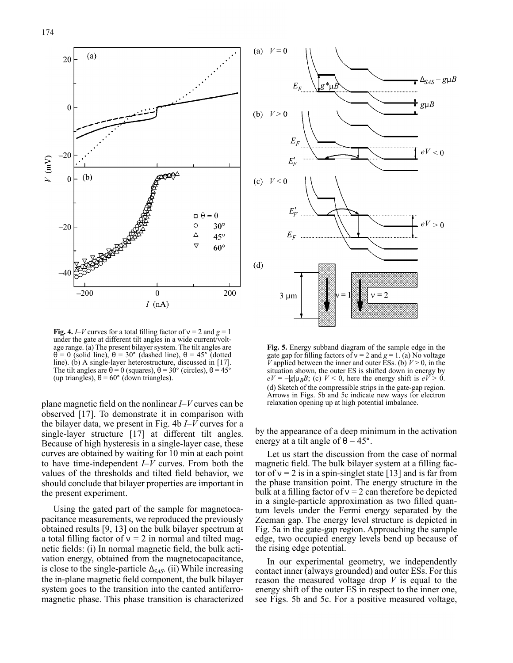

**Fig.** 4. *I–V* curves for a total filling factor of  $v = 2$  and  $g = 1$ under the gate at different tilt angles in a wide current/voltage range. (a) The present bilayer system. The tilt angles are θ = 0 (solid line), θ = 30° (dashed line), θ = 45° (dotted line). (b) A single-layer heterostructure, discussed in [17]. The tilt angles are  $\theta = 0$  (squares),  $\theta = 30^{\circ}$  (circles),  $\theta = 45^{\circ}$ (up triangles),  $\theta = 60^{\circ}$  (down triangles).

plane magnetic field on the nonlinear *I–V* curves can be observed [17]. To demonstrate it in comparison with the bilayer data, we present in Fig. 4b *I–V* curves for a single-layer structure [17] at different tilt angles. Because of high hysteresis in a single-layer case, these curves are obtained by waiting for 10 min at each point to have time-independent *I–V* curves. From both the values of the thresholds and tilted field behavior, we should conclude that bilayer properties are important in the present experiment.

Using the gated part of the sample for magnetocapacitance measurements, we reproduced the previously obtained results [9, 13] on the bulk bilayer spectrum at a total filling factor of  $v = 2$  in normal and tilted magnetic fields: (i) In normal magnetic field, the bulk activation energy, obtained from the magnetocapacitance, is close to the single-particle ∆*SAS* . (ii) While increasing the in-plane magnetic field component, the bulk bilayer system goes to the transition into the canted antiferromagnetic phase. This phase transition is characterized



**Fig. 5.** Energy subband diagram of the sample edge in the gate gap for filling factors of  $v = 2$  and  $g = 1$ . (a) No voltage *V* applied between the inner and outer ESs. (b)  $V > 0$ , in the situation shown, the outer ES is shifted down in energy by  $eV = -|g|\mu_B B$ ; (c)  $V < 0$ , here the energy shift is  $eV > 0$ . (d) Sketch of the compressible strips in the gate-gap region. Arrows in Figs. 5b and 5c indicate new ways for electron relaxation opening up at high potential imbalance.

by the appearance of a deep minimum in the activation energy at a tilt angle of  $\theta = 45^{\circ}$ .

Let us start the discussion from the case of normal magnetic field. The bulk bilayer system at a filling factor of  $v = 2$  is in a spin-singlet state [13] and is far from the phase transition point. The energy structure in the bulk at a filling factor of  $v = 2$  can therefore be depicted in a single-particle approximation as two filled quantum levels under the Fermi energy separated by the Zeeman gap. The energy level structure is depicted in Fig. 5a in the gate-gap region. Approaching the sample edge, two occupied energy levels bend up because of the rising edge potential.

In our experimental geometry, we independently contact inner (always grounded) and outer ESs. For this reason the measured voltage drop *V* is equal to the energy shift of the outer ES in respect to the inner one, see Figs. 5b and 5c. For a positive measured voltage,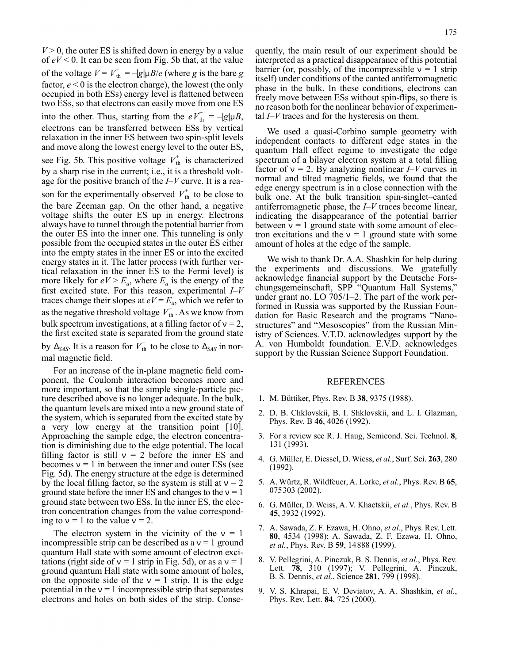$V > 0$ , the outer ES is shifted down in energy by a value of  $eV < 0$ . It can be seen from Fig. 5b that, at the value of the voltage  $V = V_{\text{th}}^+ = -|g| \mu B/e$  (where *g* is the bare *g* factor,  $e < 0$  is the electron charge), the lowest (the only occupied in both ESs) energy level is flattened between two ESs, so that electrons can easily move from one ES into the other. Thus, starting from the  $eV_{\text{th}}^{+} = -|g| \mu B$ , electrons can be transferred between ESs by vertical relaxation in the inner ES between two spin-split levels and move along the lowest energy level to the outer ES, see Fig. 5b. This positive voltage  $V_{th}^{+}$  is characterized by a sharp rise in the current; i.e., it is a threshold voltage for the positive branch of the *I–V* curve. It is a reason for the experimentally observed  $V_{\text{th}}^{\dagger}$  to be close to the bare Zeeman gap. On the other hand, a negative voltage shifts the outer ES up in energy. Electrons always have to tunnel through the potential barrier from the outer ES into the inner one. This tunneling is only possible from the occupied states in the outer ES either into the empty states in the inner ES or into the excited energy states in it. The latter process (with further vertical relaxation in the inner ES to the Fermi level) is more likely for  $eV > E_a$ , where  $E_a$  is the energy of the first excited state. For this reason, experimental *I–V* traces change their slopes at  $eV = E_a$ , which we refer to as the negative threshold voltage  $V_{th}$ . As we know from bulk spectrum investigations, at a filling factor of  $v = 2$ , the first excited state is separated from the ground state

by  $\Delta_{SAS}$ . It is a reason for  $V_{th}^-$  to be close to  $\Delta_{SAS}$  in normal magnetic field.

For an increase of the in-plane magnetic field component, the Coulomb interaction becomes more and more important, so that the simple single-particle picture described above is no longer adequate. In the bulk, the quantum levels are mixed into a new ground state of the system, which is separated from the excited state by a very low energy at the transition point [10]. Approaching the sample edge, the electron concentration is diminishing due to the edge potential. The local filling factor is still  $v = 2$  before the inner ES and becomes  $v = 1$  in between the inner and outer ESs (see Fig. 5d). The energy structure at the edge is determined by the local filling factor, so the system is still at  $v = 2$ ground state before the inner ES and changes to the  $v = 1$ ground state between two ESs. In the inner ES, the electron concentration changes from the value corresponding to  $v = 1$  to the value  $v = 2$ .

The electron system in the vicinity of the  $v = 1$ incompressible strip can be described as  $a v = 1$  ground quantum Hall state with some amount of electron excitations (right side of  $v = 1$  strip in Fig. 5d), or as a  $v = 1$ ground quantum Hall state with some amount of holes, on the opposite side of the  $v = 1$  strip. It is the edge potential in the  $v = 1$  incompressible strip that separates electrons and holes on both sides of the strip. Consequently, the main result of our experiment should be interpreted as a practical disappearance of this potential barrier (or, possibly, of the incompressible  $v = 1$  strip itself) under conditions of the canted antiferromagnetic phase in the bulk. In these conditions, electrons can freely move between ESs without spin-flips, so there is no reason both for the nonlinear behavior of experimental *I–V* traces and for the hysteresis on them.

We used a quasi-Corbino sample geometry with independent contacts to different edge states in the quantum Hall effect regime to investigate the edge spectrum of a bilayer electron system at a total filling factor of  $v = 2$ . By analyzing nonlinear  $I-V$  curves in normal and tilted magnetic fields, we found that the edge energy spectrum is in a close connection with the bulk one. At the bulk transition spin-singlet–canted antiferromagnetic phase, the *I–V* traces become linear, indicating the disappearance of the potential barrier between  $v = 1$  ground state with some amount of electron excitations and the  $v = 1$  ground state with some amount of holes at the edge of the sample.

We wish to thank Dr. A.A. Shashkin for help during the experiments and discussions. We gratefully acknowledge financial support by the Deutsche Forschungsgemeinschaft, SPP "Quantum Hall Systems," under grant no. LO 705/1–2. The part of the work performed in Russia was supported by the Russian Foundation for Basic Research and the programs "Nanostructures" and "Mesoscopies" from the Russian Ministry of Sciences. V.T.D. acknowledges support by the A. von Humboldt foundation. E.V.D. acknowledges support by the Russian Science Support Foundation.

## REFERENCES

- 1. M. Büttiker, Phys. Rev. B **38**, 9375 (1988).
- 2. D. B. Chklovskii, B. I. Shklovskii, and L. I. Glazman, Phys. Rev. B **46**, 4026 (1992).
- 3. For a review see R. J. Haug, Semicond. Sci. Technol. **8**, 131 (1993).
- 4. G. Müller, E. Diessel, D. Wiess, *et al.*, Surf. Sci. **263**, 280 (1992).
- 5. A. Würtz, R. Wildfeuer,A. Lorke, *et al.*, Phys. Rev. B **65**, 075303 (2002).
- 6. G. Müller, D. Weiss, A. V. Khaetskii, *et al.*, Phys. Rev. B **45**, 3932 (1992).
- 7. A. Sawada, Z. F. Ezawa, H. Ohno, *et al.*, Phys. Rev. Lett. **80**, 4534 (1998); A. Sawada, Z. F. Ezawa, H. Ohno, *et al.*, Phys. Rev. B **59**, 14888 (1999).
- 8. V. Pellegrini, A. Pinczuk, B. S. Dennis, *et al.*, Phys. Rev. Lett. **78**, 310 (1997); V. Pellegrini, A. Pinczuk, B. S. Dennis, *et al.*, Science **281**, 799 (1998).
- 9. V. S. Khrapai, E. V. Deviatov, A. A. Shashkin, *et al.*, Phys. Rev. Lett. **84**, 725 (2000).